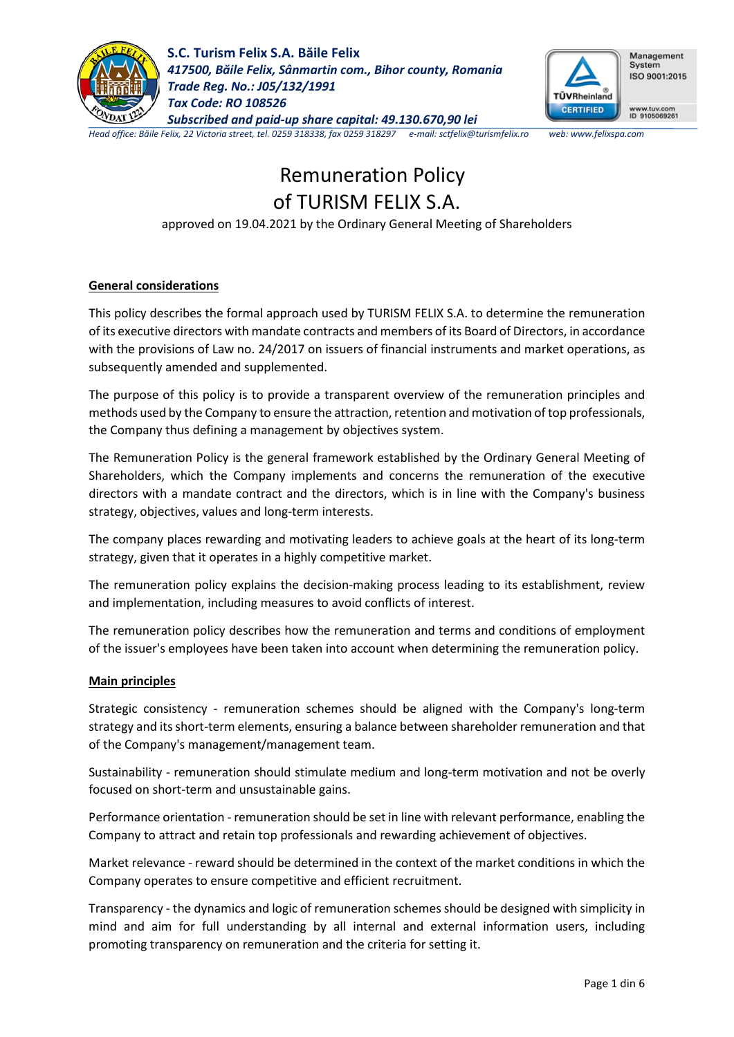



Management System ISO 9001:2015

www.tuv.com<br>ID 9105069261

*Head office: Băile Felix, 22 Victoria street, tel. 0259 318338, fax 0259 318297 e-mail: sctfelix@turismfelix.ro web: www.felixspa.com*

# Remuneration Policy of TURISM FELIX S.A.

approved on 19.04.2021 by the Ordinary General Meeting of Shareholders

## **General considerations**

This policy describes the formal approach used by TURISM FELIX S.A. to determine the remuneration of its executive directors with mandate contracts and members of its Board of Directors, in accordance with the provisions of Law no. 24/2017 on issuers of financial instruments and market operations, as subsequently amended and supplemented.

The purpose of this policy is to provide a transparent overview of the remuneration principles and methods used by the Company to ensure the attraction, retention and motivation of top professionals, the Company thus defining a management by objectives system.

The Remuneration Policy is the general framework established by the Ordinary General Meeting of Shareholders, which the Company implements and concerns the remuneration of the executive directors with a mandate contract and the directors, which is in line with the Company's business strategy, objectives, values and long-term interests.

The company places rewarding and motivating leaders to achieve goals at the heart of its long-term strategy, given that it operates in a highly competitive market.

The remuneration policy explains the decision-making process leading to its establishment, review and implementation, including measures to avoid conflicts of interest.

The remuneration policy describes how the remuneration and terms and conditions of employment of the issuer's employees have been taken into account when determining the remuneration policy.

## **Main principles**

Strategic consistency - remuneration schemes should be aligned with the Company's long-term strategy and its short-term elements, ensuring a balance between shareholder remuneration and that of the Company's management/management team.

Sustainability - remuneration should stimulate medium and long-term motivation and not be overly focused on short-term and unsustainable gains.

Performance orientation - remuneration should be set in line with relevant performance, enabling the Company to attract and retain top professionals and rewarding achievement of objectives.

Market relevance - reward should be determined in the context of the market conditions in which the Company operates to ensure competitive and efficient recruitment.

Transparency - the dynamics and logic of remuneration schemes should be designed with simplicity in mind and aim for full understanding by all internal and external information users, including promoting transparency on remuneration and the criteria for setting it.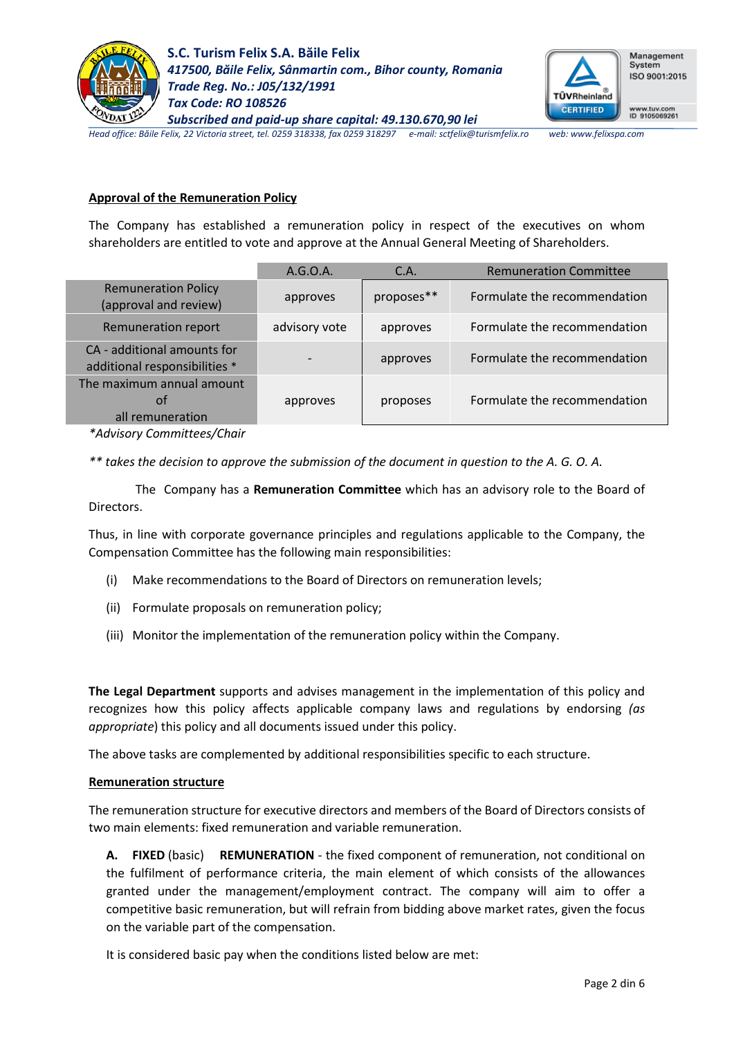



Management System ISO 9001:2015

www.tuv.com<br>ID 9105069261

*Head office: Băile Felix, 22 Victoria street, tel. 0259 318338, fax 0259 318297 e-mail: sctfelix@turismfelix.ro web: www.felixspa.com*

## **Approval of the Remuneration Policy**

The Company has established a remuneration policy in respect of the executives on whom shareholders are entitled to vote and approve at the Annual General Meeting of Shareholders.

|                                                              | A.G.O.A.      | C.A.       | <b>Remuneration Committee</b> |
|--------------------------------------------------------------|---------------|------------|-------------------------------|
| <b>Remuneration Policy</b><br>(approval and review)          | approves      | proposes** | Formulate the recommendation  |
| <b>Remuneration report</b>                                   | advisory vote | approves   | Formulate the recommendation  |
| CA - additional amounts for<br>additional responsibilities * |               | approves   | Formulate the recommendation  |
| The maximum annual amount<br>ot<br>all remuneration          | approves      | proposes   | Formulate the recommendation  |
|                                                              |               |            |                               |

*\*Advisory Committees/Chair*

*\*\* takes the decision to approve the submission of the document in question to the A. G. O. A.*

The Company has a **Remuneration Committee** which has an advisory role to the Board of Directors.

Thus, in line with corporate governance principles and regulations applicable to the Company, the Compensation Committee has the following main responsibilities:

- (i) Make recommendations to the Board of Directors on remuneration levels;
- (ii) Formulate proposals on remuneration policy;
- (iii) Monitor the implementation of the remuneration policy within the Company.

**The Legal Department** supports and advises management in the implementation of this policy and recognizes how this policy affects applicable company laws and regulations by endorsing *(as appropriate*) this policy and all documents issued under this policy.

The above tasks are complemented by additional responsibilities specific to each structure.

## **Remuneration structure**

The remuneration structure for executive directors and members of the Board of Directors consists of two main elements: fixed remuneration and variable remuneration.

**A. FIXED** (basic) **REMUNERATION** - the fixed component of remuneration, not conditional on the fulfilment of performance criteria, the main element of which consists of the allowances granted under the management/employment contract. The company will aim to offer a competitive basic remuneration, but will refrain from bidding above market rates, given the focus on the variable part of the compensation.

It is considered basic pay when the conditions listed below are met: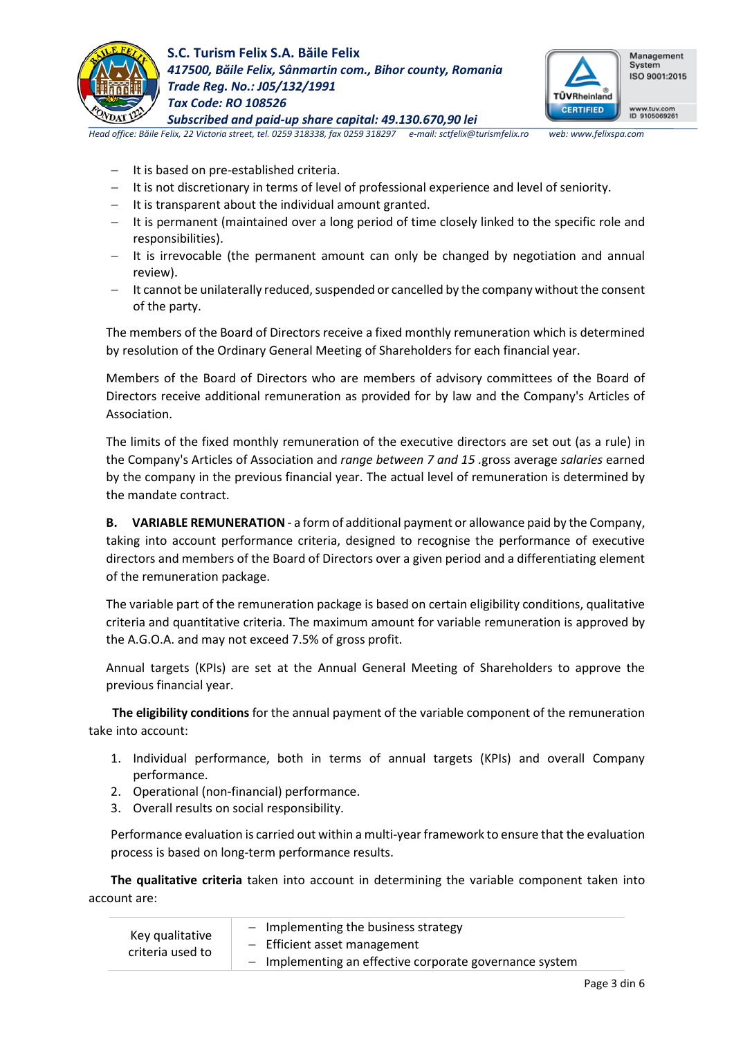



Management System ISO 9001:2015

*Head office: Băile Felix, 22 Victoria street, tel. 0259 318338, fax 0259 318297 e-mail: sctfelix@turismfelix.ro web: www.felixspa.com*

- − It is based on pre-established criteria.
- − It is not discretionary in terms of level of professional experience and level of seniority.
- − It is transparent about the individual amount granted.
- − It is permanent (maintained over a long period of time closely linked to the specific role and responsibilities).
- − It is irrevocable (the permanent amount can only be changed by negotiation and annual review).
- − It cannot be unilaterally reduced, suspended or cancelled by the company without the consent of the party.

The members of the Board of Directors receive a fixed monthly remuneration which is determined by resolution of the Ordinary General Meeting of Shareholders for each financial year.

Members of the Board of Directors who are members of advisory committees of the Board of Directors receive additional remuneration as provided for by law and the Company's Articles of Association.

The limits of the fixed monthly remuneration of the executive directors are set out (as a rule) in the Company's Articles of Association and *range between 7 and 15 .*gross average *salaries* earned by the company in the previous financial year. The actual level of remuneration is determined by the mandate contract.

**B. VARIABLE REMUNERATION** - a form of additional payment or allowance paid by the Company, taking into account performance criteria, designed to recognise the performance of executive directors and members of the Board of Directors over a given period and a differentiating element of the remuneration package.

The variable part of the remuneration package is based on certain eligibility conditions, qualitative criteria and quantitative criteria. The maximum amount for variable remuneration is approved by the A.G.O.A. and may not exceed 7.5% of gross profit.

Annual targets (KPIs) are set at the Annual General Meeting of Shareholders to approve the previous financial year.

**The eligibility conditions** for the annual payment of the variable component of the remuneration take into account:

- 1. Individual performance, both in terms of annual targets (KPIs) and overall Company performance.
- 2. Operational (non-financial) performance.
- 3. Overall results on social responsibility.

Performance evaluation is carried out within a multi-year framework to ensure that the evaluation process is based on long-term performance results.

**The qualitative criteria** taken into account in determining the variable component taken into account are:

| Key qualitative  | $-$ Implementing the business strategy                  |
|------------------|---------------------------------------------------------|
| criteria used to | $-$ Efficient asset management                          |
|                  | - Implementing an effective corporate governance system |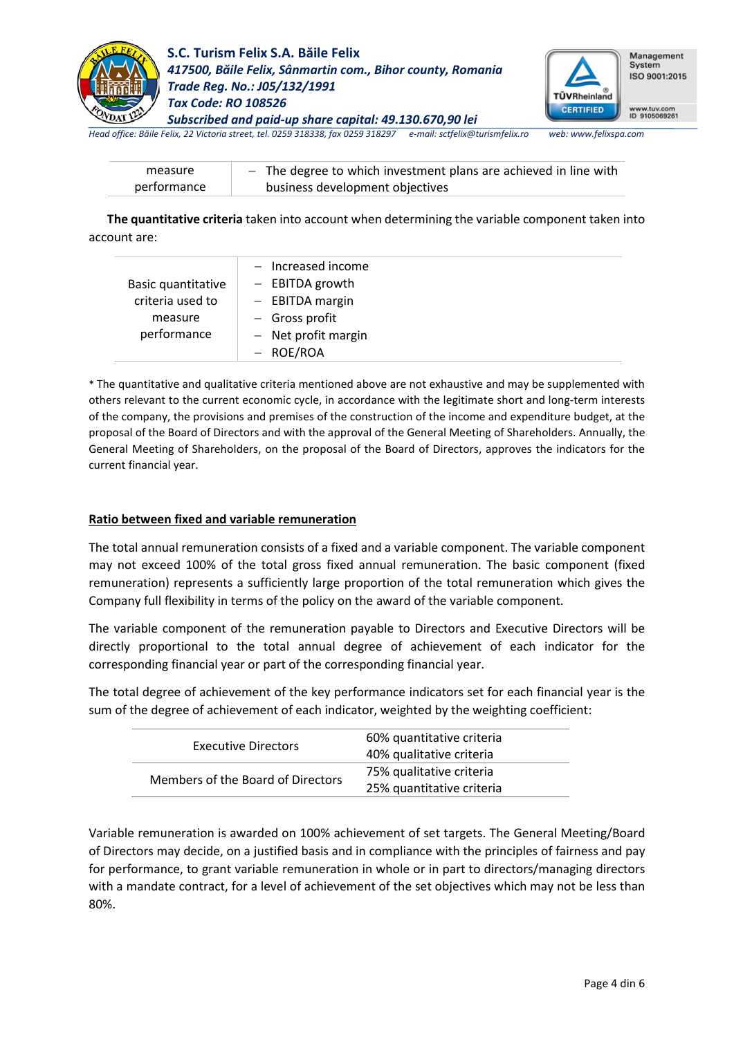



Management System ISO 9001:2015

*Head office: Băile Felix, 22 Victoria street, tel. 0259 318338, fax 0259 318297 e-mail: sctfelix@turismfelix.ro web: www.felixspa.com*

| measure     | - The degree to which investment plans are achieved in line with |
|-------------|------------------------------------------------------------------|
| performance | business development objectives                                  |

 **The quantitative criteria** taken into account when determining the variable component taken into account are:

|                    | $-$ Increased income |
|--------------------|----------------------|
| Basic quantitative | $-$ EBITDA growth    |
| criteria used to   | $-$ EBITDA margin    |
| measure            | $-$ Gross profit     |
| performance        | - Net profit margin  |
|                    | - ROE/ROA            |

\* The quantitative and qualitative criteria mentioned above are not exhaustive and may be supplemented with others relevant to the current economic cycle, in accordance with the legitimate short and long-term interests of the company, the provisions and premises of the construction of the income and expenditure budget, at the proposal of the Board of Directors and with the approval of the General Meeting of Shareholders. Annually, the General Meeting of Shareholders, on the proposal of the Board of Directors, approves the indicators for the current financial year.

## **Ratio between fixed and variable remuneration**

The total annual remuneration consists of a fixed and a variable component. The variable component may not exceed 100% of the total gross fixed annual remuneration. The basic component (fixed remuneration) represents a sufficiently large proportion of the total remuneration which gives the Company full flexibility in terms of the policy on the award of the variable component.

The variable component of the remuneration payable to Directors and Executive Directors will be directly proportional to the total annual degree of achievement of each indicator for the corresponding financial year or part of the corresponding financial year.

The total degree of achievement of the key performance indicators set for each financial year is the sum of the degree of achievement of each indicator, weighted by the weighting coefficient:

|                                   | 60% quantitative criteria |
|-----------------------------------|---------------------------|
| <b>Executive Directors</b>        | 40% qualitative criteria  |
| Members of the Board of Directors | 75% qualitative criteria  |
|                                   | 25% quantitative criteria |

Variable remuneration is awarded on 100% achievement of set targets. The General Meeting/Board of Directors may decide, on a justified basis and in compliance with the principles of fairness and pay for performance, to grant variable remuneration in whole or in part to directors/managing directors with a mandate contract, for a level of achievement of the set objectives which may not be less than 80%.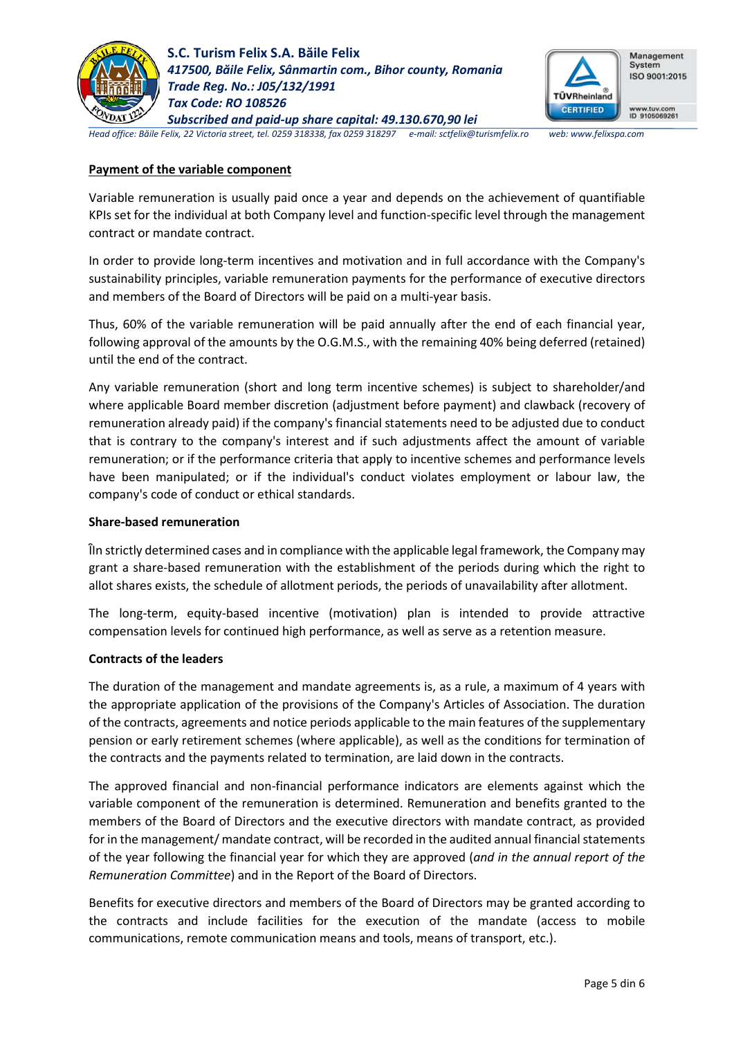



Management System ISO 9001:2015

www.tuv.com<br>ID 9105069261

*Head office: Băile Felix, 22 Victoria street, tel. 0259 318338, fax 0259 318297 e-mail: sctfelix@turismfelix.ro web: www.felixspa.com*

## **Payment of the variable component**

Variable remuneration is usually paid once a year and depends on the achievement of quantifiable KPIs set for the individual at both Company level and function-specific level through the management contract or mandate contract.

In order to provide long-term incentives and motivation and in full accordance with the Company's sustainability principles, variable remuneration payments for the performance of executive directors and members of the Board of Directors will be paid on a multi-year basis.

Thus, 60% of the variable remuneration will be paid annually after the end of each financial year, following approval of the amounts by the O.G.M.S., with the remaining 40% being deferred (retained) until the end of the contract.

Any variable remuneration (short and long term incentive schemes) is subject to shareholder/and where applicable Board member discretion (adjustment before payment) and clawback (recovery of remuneration already paid) if the company's financial statements need to be adjusted due to conduct that is contrary to the company's interest and if such adjustments affect the amount of variable remuneration; or if the performance criteria that apply to incentive schemes and performance levels have been manipulated; or if the individual's conduct violates employment or labour law, the company's code of conduct or ethical standards.

## **Share-based remuneration**

ȊIn strictly determined cases and in compliance with the applicable legal framework, the Company may grant a share-based remuneration with the establishment of the periods during which the right to allot shares exists, the schedule of allotment periods, the periods of unavailability after allotment.

The long-term, equity-based incentive (motivation) plan is intended to provide attractive compensation levels for continued high performance, as well as serve as a retention measure.

# **Contracts of the leaders**

The duration of the management and mandate agreements is, as a rule, a maximum of 4 years with the appropriate application of the provisions of the Company's Articles of Association. The duration of the contracts, agreements and notice periods applicable to the main features of the supplementary pension or early retirement schemes (where applicable), as well as the conditions for termination of the contracts and the payments related to termination, are laid down in the contracts.

The approved financial and non-financial performance indicators are elements against which the variable component of the remuneration is determined. Remuneration and benefits granted to the members of the Board of Directors and the executive directors with mandate contract, as provided for in the management/ mandate contract, will be recorded in the audited annual financial statements of the year following the financial year for which they are approved (*and in the annual report of the Remuneration Committee*) and in the Report of the Board of Directors.

Benefits for executive directors and members of the Board of Directors may be granted according to the contracts and include facilities for the execution of the mandate (access to mobile communications, remote communication means and tools, means of transport, etc.).